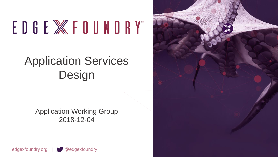# EDGE X FOUNDRY"

# Application Services Design

Application Working Group 2018-12-04



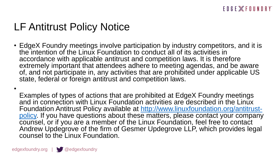# LF Antitrust Policy Notice

• EdgeX Foundry meetings involve participation by industry competitors, and it is the intention of the Linux Foundation to conduct all of its activities in accordance with applicable antitrust and competition laws. It is therefore extremely important that attendees adhere to meeting agendas, and be aware of, and not participate in, any activities that are prohibited under applicable US state, federal or foreign antitrust and competition laws.

Examples of types of actions that are prohibited at EdgeX Foundry meetings and in connection with Linux Foundation activities are described in the Linux Foundation Antitrust Policy available at http://www.linuxfoundation.org/antitrust[policy. If you have questions about these matters, please contact your company](http://www.linuxfoundation.org/antitrust-policy) counsel, or if you are a member of the Linux Foundation, feel free to contact Andrew Updegrove of the firm of Gesmer Updegrove LLP, which provides legal counsel to the Linux Foundation.

•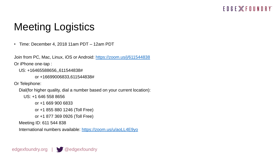#### EDGE **WEDUNDRY**

# Meeting Logistics

• Time: December 4, 2018 11am PDT – 12am PDT

Join from PC, Mac, Linux, iOS or Android:<https://zoom.us/j/611544838> Or iPhone one-tap :

```
US: +16465588656,,611544838#
```

```
or +16699006833,611544838#
```
Or Telephone:

Dial(for higher quality, dial a number based on your current location):

```
US: +1 646 558 8656
```

```
or +1 669 900 6833
```

```
or +1 855 880 1246 (Toll Free)
```

```
or +1 877 369 0926 (Toll Free)
```
Meeting ID: 611 544 838

International numbers available:<https://zoom.us/u/aoLL4E9yo>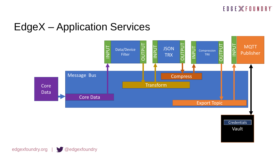

Vault

### EdgeX – Application Services



edgexfoundry.org | @edgexfoundry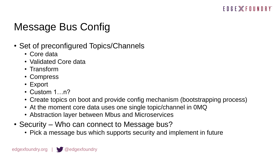# Message Bus Config

- Set of preconfigured Topics/Channels
	- Core data
	- Validated Core data
	- Transform
	- Compress
	- Export
	- Custom 1…n?
	- Create topics on boot and provide config mechanism (bootstrapping process)
	- At the moment core data uses one single topic/channel in 0MQ
	- Abstraction layer between Mbus and Microservices
- Security Who can connect to Message bus?
	- Pick a message bus which supports security and implement in future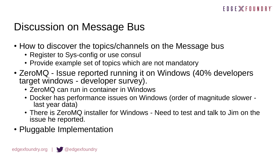### Discussion on Message Bus

- How to discover the topics/channels on the Message bus
	- Register to Sys-config or use consul
	- Provide example set of topics which are not mandatory
- ZeroMQ Issue reported running it on Windows (40% developers target windows - developer survey).
	- ZeroMQ can run in container in Windows
	- Docker has performance issues on Windows (order of magnitude slower last year data)
	- There is ZeroMQ installer for Windows Need to test and talk to Jim on the issue he reported.
- Pluggable Implementation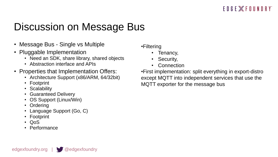# Discussion on Message Bus

- Message Bus Single vs Multiple
- Pluggable Implementation
	- Need an SDK, share library, shared objects
	- Abstraction interface and APIs
- Properties that Implementation Offers:
	- Architecture Support (x86/ARM, 64/32bit)
	- Footprint
	- **Scalability**
	- Guaranteed Delivery
	- OS Support (Linux/Win)
	- Ordering
	- Language Support (Go, C)
	- Footprint
	- QoS
	- Performance

#### •Filtering

- Tenancy,
- Security,
- **Connection**

•First implementation: split everything in export-distro except MQTT into independent services that use the MQTT exporter for the message bus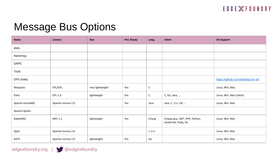#### EDGE **ET FOUNDRY**

### Message Bus Options

| <b>Name</b>     | Licence            | <b>Size</b>      | Prd. Ready | Lang.        | <b>Client</b>                                            | <b>OS Support</b>                    |
|-----------------|--------------------|------------------|------------|--------------|----------------------------------------------------------|--------------------------------------|
| 0MQ             |                    |                  |            |              |                                                          |                                      |
| Nanomsg         |                    |                  |            |              |                                                          |                                      |
| <b>GRPC</b>     |                    |                  |            |              |                                                          |                                      |
| Thrift          |                    |                  |            |              |                                                          |                                      |
| DPS (Intel)     |                    |                  |            |              |                                                          | https://github.com/intel/dps-for-iot |
| Mosquito        | EPL/EDL            | very lightweight | Yes        | $\mathsf{C}$ |                                                          | Linux, Win, Mac                      |
| Paho            | EPL-1.0            | lightweight      | Yes        | $\mathsf{C}$ | C, Go, Java,                                             | Linux, Win, Mac (client)             |
| Apache ActiveMQ | Apache License 2.0 |                  | Yes        | Java         | Java, C, C++, C#,                                        | Linux, Win, Mac                      |
| Apache Apollo   |                    |                  |            |              |                                                          |                                      |
| RabbitMQ        | MPL 1.1.           | lightweight      | Yes        | Erlang       | Erlang, Java, .NET, PHP, Python,<br>JavaScript, Ruby, Go | Linux, Win, Mac                      |
| Qpid            | Apache License 2.0 |                  |            | J, C++       |                                                          | Linux, Win, Mac                      |
| <b>NATS</b>     | Apache License 2.0 | lightweight      | Yes        | Go           |                                                          | Linux, Win, Mac                      |



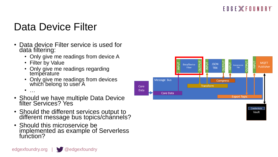#### EDGE **WFOUNDRY**

# Data Device Filter

- Data device Filter service is used for data filtering:
	- Only give me readings from device A
	- Filter by Value
	- Only give me readings regarding temperature
	- Only give me readings from devices which belong to user A

• …

- Should we have multiple Data Device filter Services? Yes
- Should the different services output to different message bus topics/channels?
- Should this microservice be implemented as example of Serverless function?

edgexfoundry.org  $\sqrt{a}$  edgexfoundry

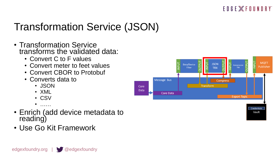#### EDGE **WFOUNDRY**

# Transformation Service (JSON)

- Transformation Service transforms the validated data:
	- Convert C to F values
	- Convert meter to feet values
	- Convert CBOR to Protobuf
	- Converts data to
		- JSON
		- XML
		- CSV
		- $\bullet$  . . . . . .
- Enrich (add device metadata to reading)
- Use Go Kit Framework

edgexfoundry.org | @edgexfoundry

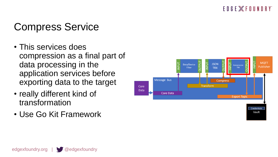#### EDGE **WFOUNDRY**

# Compress Service

- This services does compression as a final part of data processing in the application services before exporting data to the target
- really different kind of transformation
- Use Go Kit Framework